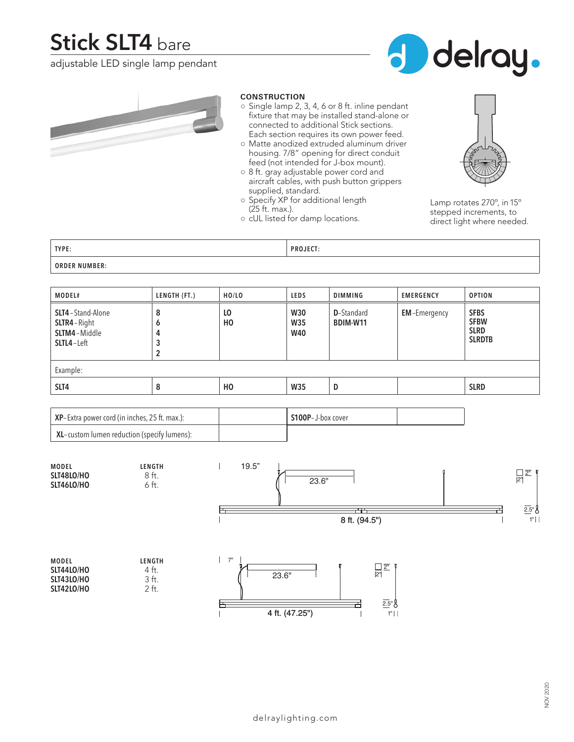# **Stick SLT4** bare

adjustable LED single lamp pendant





#### **CONSTRUCTION**

- Single lamp 2, 3, 4, 6 or 8 ft. inline pendant fixture that may be installed stand-alone or connected to additional Stick sections. Each section requires its own power feed.
- Matte anodized extruded aluminum driver housing. 7/8" opening for direct conduit feed (not intended for J-box mount).
- 8 ft. gray adjustable power cord and aircraft cables, with push button grippers supplied, standard.
- Specify XP for additional length (25 ft. max.).
- cUL listed for damp locations.



Lamp rotates 270º, in 15º stepped increments, to direct light where needed.

| TYPE:                                                                                                              | <b>PROJECT:</b> |
|--------------------------------------------------------------------------------------------------------------------|-----------------|
| <b>ORDER NUMBER:</b><br>ORDER "<br>the contract of the contract of the contract of the contract of the contract of |                 |

| MODEL#                                                        | LENGTH (FT.)     | HO/LO                | <b>LEDS</b>                     | <b>DIMMING</b>                 | <b>EMERGENCY</b>    | <b>OPTION</b>                                              |  |
|---------------------------------------------------------------|------------------|----------------------|---------------------------------|--------------------------------|---------------------|------------------------------------------------------------|--|
| SLT4-Stand-Alone<br>SLTR4-Right<br>SLTM4-Middle<br>SLTL4-Left | 8<br>O<br>4<br>2 | LO<br>H <sub>0</sub> | <b>W30</b><br>W35<br><b>W40</b> | <b>D</b> -Standard<br>BDIM-W11 | <b>EM-Emergency</b> | <b>SFBS</b><br><b>SFBW</b><br><b>SLRD</b><br><b>SLRDTB</b> |  |
| Example:                                                      |                  |                      |                                 |                                |                     |                                                            |  |
| SLT4                                                          | 8                | H <sub>0</sub>       | W35                             | D                              |                     | <b>SLRD</b>                                                |  |

| $\vert$ XP-Extra power cord (in inches, 25 ft. max.): | S100P-J-box cover |  |
|-------------------------------------------------------|-------------------|--|
| XL-custom lumen reduction (specify lumens):           |                   |  |

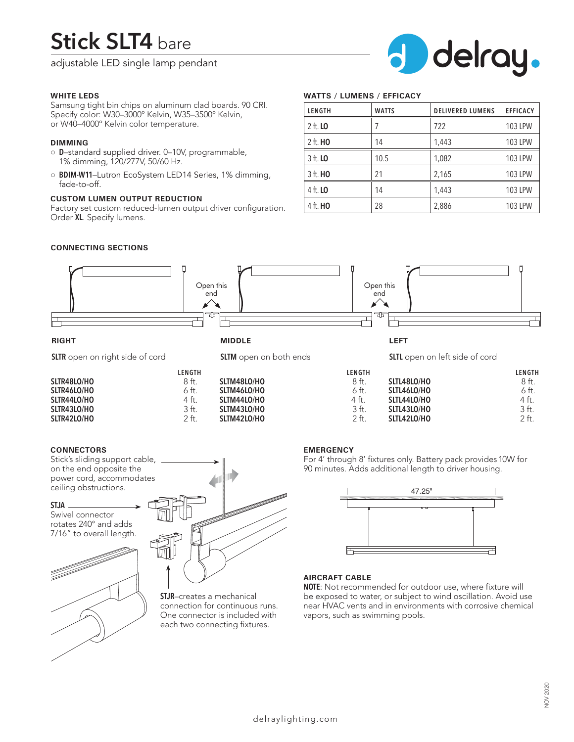# **Stick SLT4** bare

adjustable LED single lamp pendant



### **WHITE LEDS**

Samsung tight bin chips on aluminum clad boards. 90 CRI. Specify color: W30–3000º Kelvin, W35–3500º Kelvin, or W40–4000º Kelvin color temperature.

#### **DIMMING**

- **D**–standard supplied driver. 0–10V, programmable, 1% dimming, 120/277V, 50/60 Hz.
- **BDIM-W11**–Lutron EcoSystem LED14 Series, 1% dimming, fade-to-off.

# **CUSTOM LUMEN OUTPUT REDUCTION**

Factory set custom reduced-lumen output driver configuration. Order **XL**. Specify lumens.

# **WATTS / LUMENS / EFFICACY**

| LENGTH          | <b>WATTS</b> | <b>DELIVERED LUMENS</b> | <b>EFFICACY</b> |
|-----------------|--------------|-------------------------|-----------------|
| 2 ft. <b>LO</b> |              | 722                     | 103 LPW         |
| $2$ ft. $HO$    | 14           | 1,443                   | 103 LPW         |
| 3 ft. <b>LO</b> | 10.5         | 1,082                   | 103 LPW         |
| 3 ft. <b>HO</b> | 21           | 2,165                   | 103 LPW         |
| 4 ft. <b>LO</b> | 14           | 1,443                   | 103 LPW         |
| 4 ft. <b>HO</b> | 28           | 2,886                   | 103 LPW         |

# **CONNECTING SECTIONS**



# **SLTR42LO/HO**

#### **CONNECTORS**

Stick's sliding support cable, on the end opposite the power cord, accommodates ceiling obstructions.

#### **STJA**

Swivel connector rotates 240° and adds 7/16" to overall length.





**SLTM42LO/HO** 

**STJR**–creates a mechanical connection for continuous runs. One connector is included with each two connecting fixtures.

#### **EMERGENCY**

For 4' through 8' fixtures only. Battery pack provides 10W for 90 minutes. Adds additional length to driver housing.

**SLTL42LO/HO** 



# **AIRCRAFT CABLE**

**NOTE**: Not recommended for outdoor use, where fixture will be exposed to water, or subject to wind oscillation. Avoid use near HVAC vents and in environments with corrosive chemical vapors, such as swimming pools.